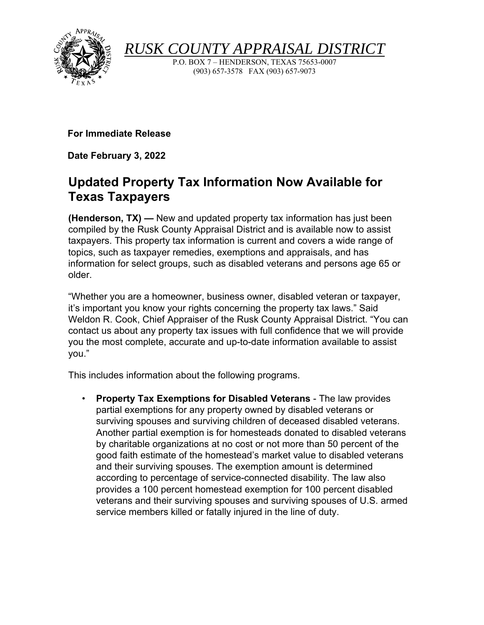

*RUSK COUNTY APPRAISAL DISTRIC* 

P.O. BOX 7 – HENDERSON, TEXAS 75653-0007 (903) 657-3578 FAX (903) 657-9073

**For Immediate Release** 

**Date February 3, 2022**

## **Updated Property Tax Information Now Available for Texas Taxpayers**

**(Henderson, TX) —** New and updated property tax information has just been compiled by the Rusk County Appraisal District and is available now to assist taxpayers. This property tax information is current and covers a wide range of topics, such as taxpayer remedies, exemptions and appraisals, and has information for select groups, such as disabled veterans and persons age 65 or older.

"Whether you are a homeowner, business owner, disabled veteran or taxpayer, it's important you know your rights concerning the property tax laws." Said Weldon R. Cook, Chief Appraiser of the Rusk County Appraisal District. "You can contact us about any property tax issues with full confidence that we will provide you the most complete, accurate and up-to-date information available to assist you."

This includes information about the following programs.

• **Property Tax Exemptions for Disabled Veterans** - The law provides partial exemptions for any property owned by disabled veterans or surviving spouses and surviving children of deceased disabled veterans. Another partial exemption is for homesteads donated to disabled veterans by charitable organizations at no cost or not more than 50 percent of the good faith estimate of the homestead's market value to disabled veterans and their surviving spouses. The exemption amount is determined according to percentage of service-connected disability. The law also provides a 100 percent homestead exemption for 100 percent disabled veterans and their surviving spouses and surviving spouses of U.S. armed service members killed or fatally injured in the line of duty.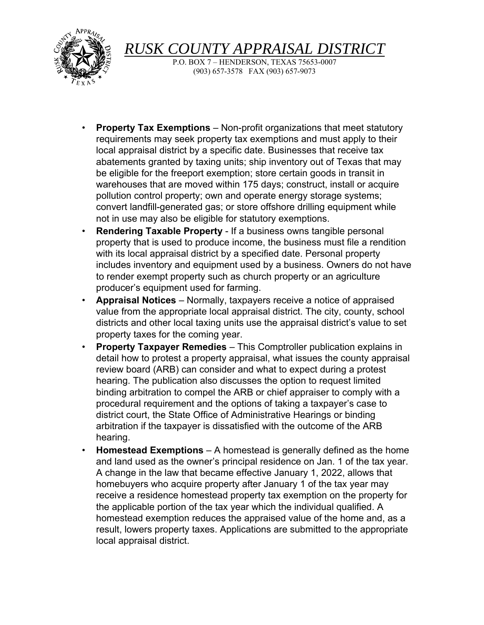

*RUSK COUNTY APPRAISAL DISTRIC* 

P.O. BOX 7 – HENDERSON, TEXAS 75653-0007 (903) 657-3578 FAX (903) 657-9073

- **Property Tax Exemptions**  Non-profit organizations that meet statutory requirements may seek property tax exemptions and must apply to their local appraisal district by a specific date. Businesses that receive tax abatements granted by taxing units; ship inventory out of Texas that may be eligible for the freeport exemption; store certain goods in transit in warehouses that are moved within 175 days; construct, install or acquire pollution control property; own and operate energy storage systems; convert landfill-generated gas; or store offshore drilling equipment while not in use may also be eligible for statutory exemptions.
- **Rendering Taxable Property**  If a business owns tangible personal property that is used to produce income, the business must file a rendition with its local appraisal district by a specified date. Personal property includes inventory and equipment used by a business. Owners do not have to render exempt property such as church property or an agriculture producer's equipment used for farming.
- **Appraisal Notices**  Normally, taxpayers receive a notice of appraised value from the appropriate local appraisal district. The city, county, school districts and other local taxing units use the appraisal district's value to set property taxes for the coming year.
- **Property Taxpayer Remedies**  This Comptroller publication explains in detail how to protest a property appraisal, what issues the county appraisal review board (ARB) can consider and what to expect during a protest hearing. The publication also discusses the option to request limited binding arbitration to compel the ARB or chief appraiser to comply with a procedural requirement and the options of taking a taxpayer's case to district court, the State Office of Administrative Hearings or binding arbitration if the taxpayer is dissatisfied with the outcome of the ARB hearing.
- **Homestead Exemptions**  A homestead is generally defined as the home and land used as the owner's principal residence on Jan. 1 of the tax year. A change in the law that became effective January 1, 2022, allows that homebuyers who acquire property after January 1 of the tax year may receive a residence homestead property tax exemption on the property for the applicable portion of the tax year which the individual qualified. A homestead exemption reduces the appraised value of the home and, as a result, lowers property taxes. Applications are submitted to the appropriate local appraisal district.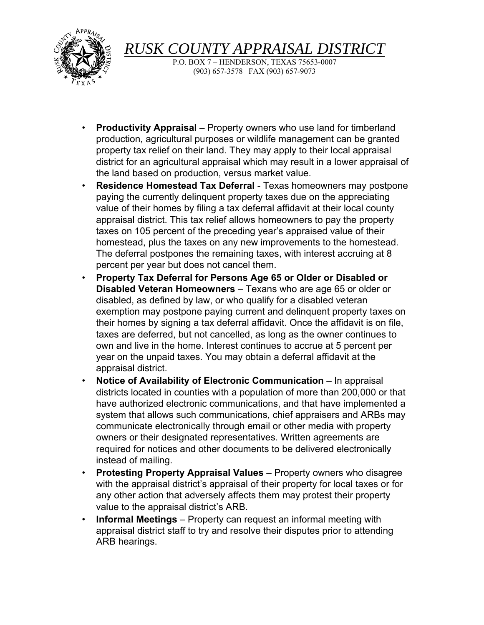

*RUSK COUNTY APPRAISAL DISTRICT* 

P.O. BOX 7 – HENDERSON, TEXAS 75653-0007 (903) 657-3578 FAX (903) 657-9073

- **Productivity Appraisal**  Property owners who use land for timberland production, agricultural purposes or wildlife management can be granted property tax relief on their land. They may apply to their local appraisal district for an agricultural appraisal which may result in a lower appraisal of the land based on production, versus market value.
- **Residence Homestead Tax Deferral**  Texas homeowners may postpone paying the currently delinquent property taxes due on the appreciating value of their homes by filing a tax deferral affidavit at their local county appraisal district. This tax relief allows homeowners to pay the property taxes on 105 percent of the preceding year's appraised value of their homestead, plus the taxes on any new improvements to the homestead. The deferral postpones the remaining taxes, with interest accruing at 8 percent per year but does not cancel them.
- **Property Tax Deferral for Persons Age 65 or Older or Disabled or Disabled Veteran Homeowners** – Texans who are age 65 or older or disabled, as defined by law, or who qualify for a disabled veteran exemption may postpone paying current and delinquent property taxes on their homes by signing a tax deferral affidavit. Once the affidavit is on file, taxes are deferred, but not cancelled, as long as the owner continues to own and live in the home. Interest continues to accrue at 5 percent per year on the unpaid taxes. You may obtain a deferral affidavit at the appraisal district.
- **Notice of Availability of Electronic Communication** In appraisal districts located in counties with a population of more than 200,000 or that have authorized electronic communications, and that have implemented a system that allows such communications, chief appraisers and ARBs may communicate electronically through email or other media with property owners or their designated representatives. Written agreements are required for notices and other documents to be delivered electronically instead of mailing.
- **Protesting Property Appraisal Values**  Property owners who disagree with the appraisal district's appraisal of their property for local taxes or for any other action that adversely affects them may protest their property value to the appraisal district's ARB.
- **Informal Meetings**  Property can request an informal meeting with appraisal district staff to try and resolve their disputes prior to attending ARB hearings.